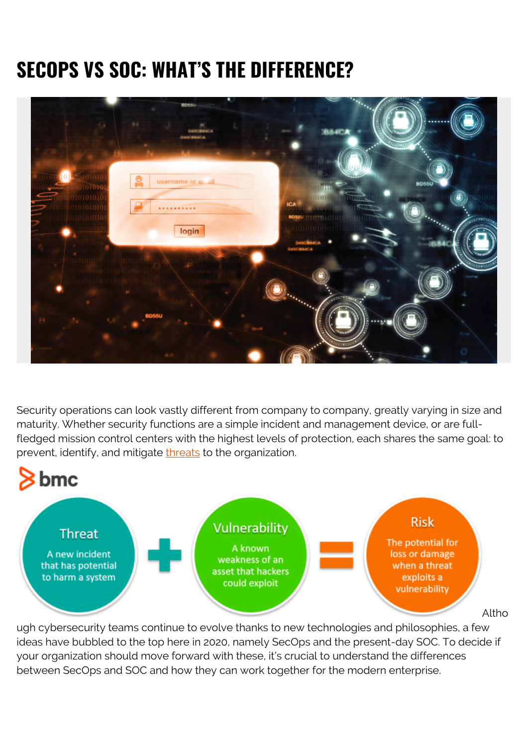# **SECOPS VS SOC: WHAT'S THE DIFFERENCE?**



Security operations can look vastly different from company to company, greatly varying in size and maturity. Whether security functions are a simple incident and management device, or are fullfledged mission control centers with the highest levels of protection, each shares the same goal: to prevent, identify, and mitigate [threats](https://blogs.bmc.com/blogs/security-vulnerability-vs-threat-vs-risk-whats-difference/) to the organization.



ugh cybersecurity teams continue to evolve thanks to new technologies and philosophies, a few ideas have bubbled to the top here in 2020, namely SecOps and the present-day SOC. To decide if your organization should move forward with these, it's crucial to understand the differences between SecOps and SOC and how they can work together for the modern enterprise.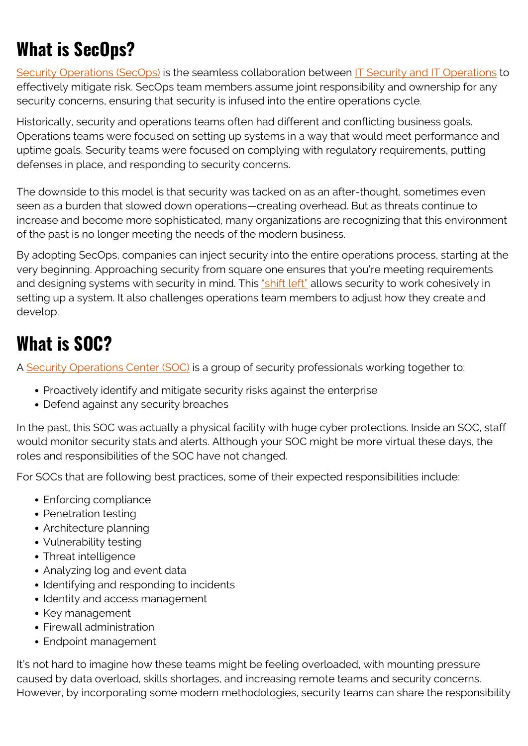### **What is SecOps?**

[Security Operations \(SecOps\)](https://blogs.bmc.com/blogs/what-is-secops-and-how-can-you-maximize-its-potential/) is the seamless collaboration between [IT Security and IT Operations](https://blogs.bmc.com/blogs/it-teams/) to effectively mitigate risk. SecOps team members assume joint responsibility and ownership for any security concerns, ensuring that security is infused into the entire operations cycle.

Historically, security and operations teams often had different and conflicting business goals. Operations teams were focused on setting up systems in a way that would meet performance and uptime goals. Security teams were focused on complying with regulatory requirements, putting defenses in place, and responding to security concerns.

The downside to this model is that security was tacked on as an after-thought, sometimes even seen as a burden that slowed down operations—creating overhead. But as threats continue to increase and become more sophisticated, many organizations are recognizing that this environment of the past is no longer meeting the needs of the modern business.

By adopting SecOps, companies can inject security into the entire operations process, starting at the very beginning. Approaching security from square one ensures that you're meeting requirements and designing systems with security in mind. This ["shift left"](https://blogs.bmc.com/blogs/what-is-shift-left-shift-left-testing-explained/) allows security to work cohesively in setting up a system. It also challenges operations team members to adjust how they create and develop.

#### **What is SOC?**

A [Security Operations Center \(SOC\)](https://blogs.bmc.com/blogs/security-operations-centers/) is a group of security professionals working together to:

- Proactively identify and mitigate security risks against the enterprise
- Defend against any security breaches

In the past, this SOC was actually a physical facility with huge cyber protections. Inside an SOC, staff would monitor security stats and alerts. Although your SOC might be more virtual these days, the roles and responsibilities of the SOC have not changed.

For SOCs that are following best practices, some of their expected responsibilities include:

- Enforcing compliance
- Penetration testing
- Architecture planning
- Vulnerability testing
- Threat intelligence
- Analyzing log and event data
- Identifying and responding to incidents
- Identity and access management
- Key management
- Firewall administration
- Endpoint management

It's not hard to imagine how these teams might be feeling overloaded, with mounting pressure caused by data overload, skills shortages, and increasing remote teams and security concerns. However, by incorporating some modern methodologies, security teams can share the responsibility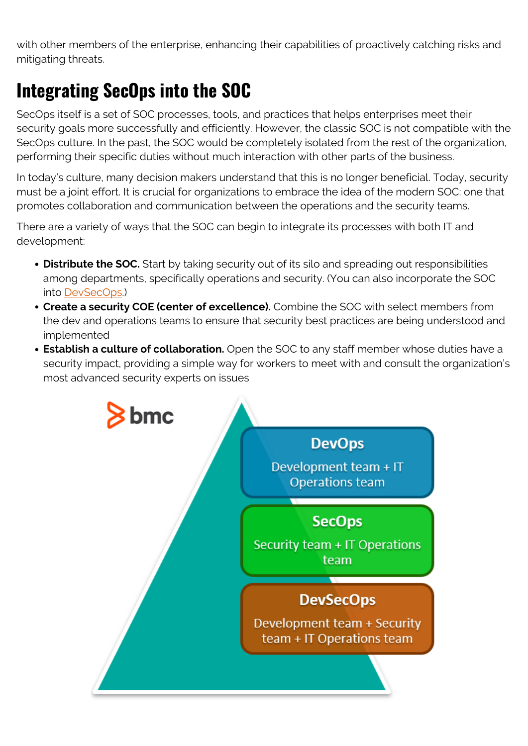with other members of the enterprise, enhancing their capabilities of proactively catching risks and mitigating threats.

# **Integrating SecOps into the SOC**

SecOps itself is a set of SOC processes, tools, and practices that helps enterprises meet their security goals more successfully and efficiently. However, the classic SOC is not compatible with the SecOps culture. In the past, the SOC would be completely isolated from the rest of the organization, performing their specific duties without much interaction with other parts of the business.

In today's culture, many decision makers understand that this is no longer beneficial. Today, security must be a joint effort. It is crucial for organizations to embrace the idea of the modern SOC: one that promotes collaboration and communication between the operations and the security teams.

There are a variety of ways that the SOC can begin to integrate its processes with both IT and development:

- **Distribute the SOC.** Start by taking security out of its silo and spreading out responsibilities among departments, specifically operations and security. (You can also incorporate the SOC into [DevSecOps.](https://blogs.bmc.com/blogs/secops-vs-devsecops/))
- **Create a security COE (center of excellence).** Combine the SOC with select members from the dev and operations teams to ensure that security best practices are being understood and implemented
- **Establish a culture of collaboration.** Open the SOC to any staff member whose duties have a security impact, providing a simple way for workers to meet with and consult the organization's most advanced security experts on issues